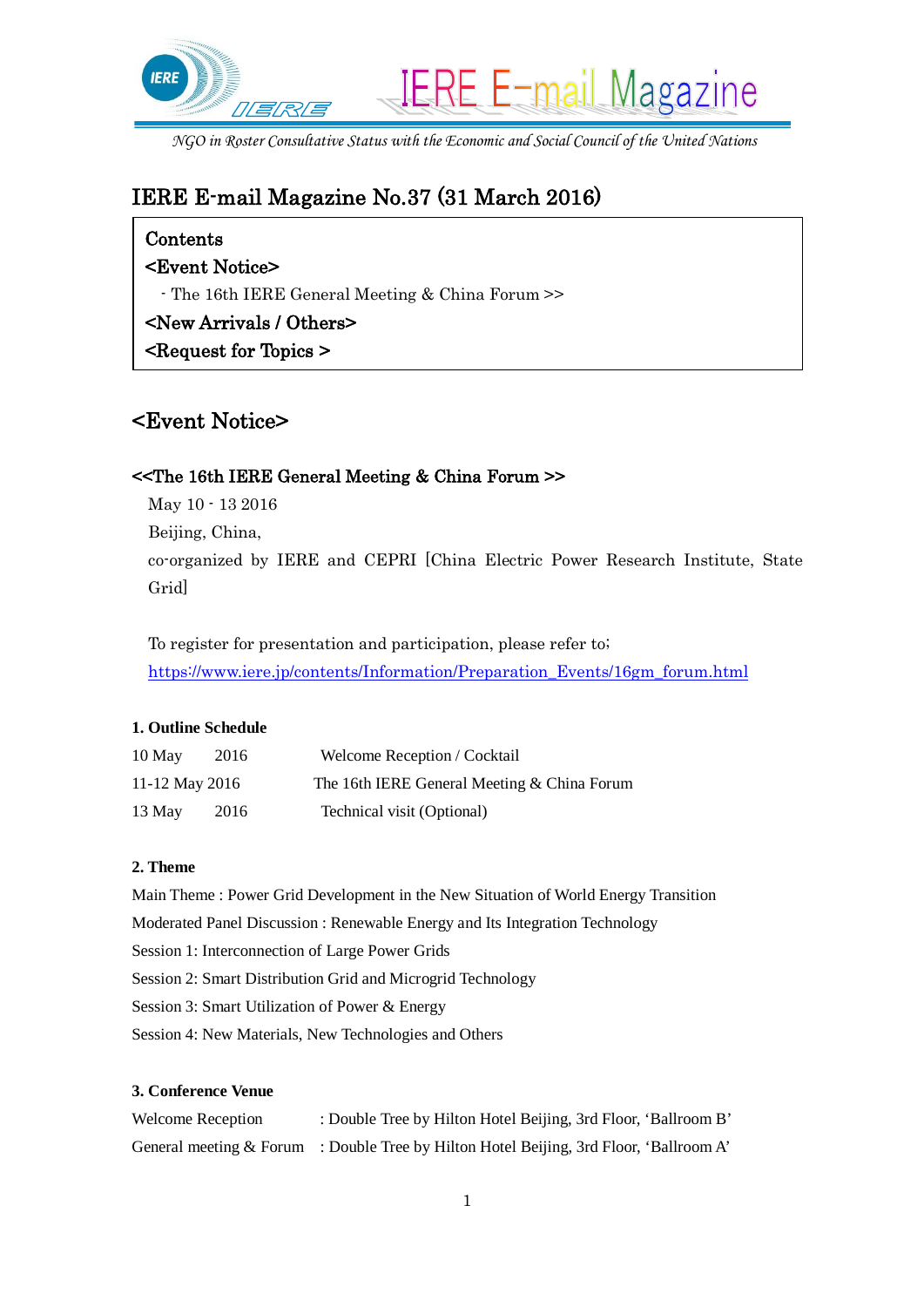

*NGO in Roster Consultative Status with the Economic and Social Council of the United Nations*

# IERE E-mail Magazine No.37 (31 March 2016)

## Contents

## <Event Notice>

- The 16th IERE General Meeting & China Forum >>

## <New Arrivals / Others>

<Request for Topics >

## <Event Notice>

### <<The 16th IERE General Meeting & China Forum >>

May 10 - 13 2016 Beijing, China, co-organized by IERE and CEPRI [China Electric Power Research Institute, State Grid]

To register for presentation and participation, please refer to; [https://www.iere.jp/contents/Information/Preparation\\_Events/16gm\\_forum.html](https://www.iere.jp/contents/Information/Preparation_Events/16gm_forum.html)

#### **1. Outline Schedule**

| 10 May         | 2016 | Welcome Reception / Cocktail                |
|----------------|------|---------------------------------------------|
| 11-12 May 2016 |      | The 16th IERE General Meeting & China Forum |
| 13 May         | 2016 | Technical visit (Optional)                  |

#### **2. Theme**

Main Theme : Power Grid Development in the New Situation of World Energy Transition Moderated Panel Discussion : Renewable Energy and Its Integration Technology Session 1: Interconnection of Large Power Grids Session 2: Smart Distribution Grid and Microgrid Technology Session 3: Smart Utilization of Power & Energy Session 4: New Materials, New Technologies and Others

#### **3. Conference Venue**

| <b>Welcome Reception</b> | : Double Tree by Hilton Hotel Beijing, 3rd Floor, 'Ballroom B'                            |
|--------------------------|-------------------------------------------------------------------------------------------|
|                          | General meeting $\&$ Forum : Double Tree by Hilton Hotel Beijing, 3rd Floor, 'Ballroom A' |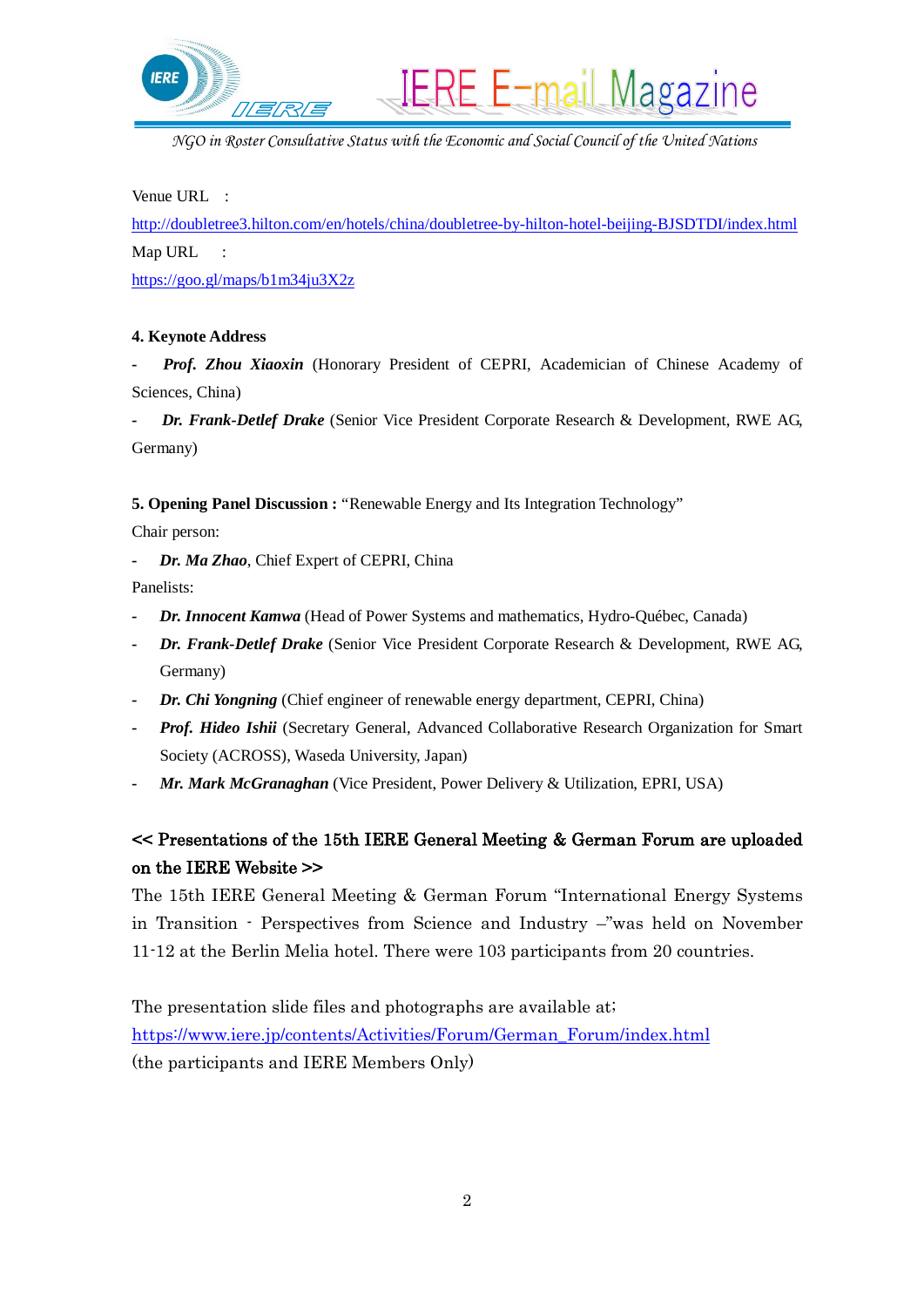

*NGO in Roster Consultative Status with the Economic and Social Council of the United Nations*

**IERE E-mail Magazine** 

Venue URL :

<http://doubletree3.hilton.com/en/hotels/china/doubletree-by-hilton-hotel-beijing-BJSDTDI/index.html> Map URL :

<https://goo.gl/maps/b1m34ju3X2z>

#### **4. Keynote Address**

Prof. Zhou Xiaoxin (Honorary President of CEPRI, Academician of Chinese Academy of Sciences, China)

*- Dr. Frank-Detlef Drake* (Senior Vice President Corporate Research & Development, RWE AG, Germany)

**5. Opening Panel Discussion :** "Renewable Energy and Its Integration Technology"

Chair person:

*- Dr. Ma Zhao*, Chief Expert of CEPRI, China

Panelists:

- *- Dr. Innocent Kamwa* (Head of Power Systems and mathematics, Hydro-Québec, Canada)
- *- Dr. Frank-Detlef Drake* (Senior Vice President Corporate Research & Development, RWE AG, Germany)
- *- Dr. Chi Yongning* (Chief engineer of renewable energy department, CEPRI, China)
- *- Prof. Hideo Ishii* (Secretary General, Advanced Collaborative Research Organization for Smart Society (ACROSS), Waseda University, Japan)
- *Mr. Mark McGranaghan* (Vice President, Power Delivery & Utilization, EPRI, USA)

## << Presentations of the 15th IERE General Meeting & German Forum are uploaded on the IERE Website >>

The 15th IERE General Meeting & German Forum "International Energy Systems in Transition - Perspectives from Science and Industry –"was held on November 11-12 at the Berlin Melia hotel. There were 103 participants from 20 countries.

The presentation slide files and photographs are available at; [https://www.iere.jp/contents/Activities/Forum/German\\_Forum/index.html](https://www.iere.jp/contents/Activities/Forum/German_Forum/index.html) (the participants and IERE Members Only)